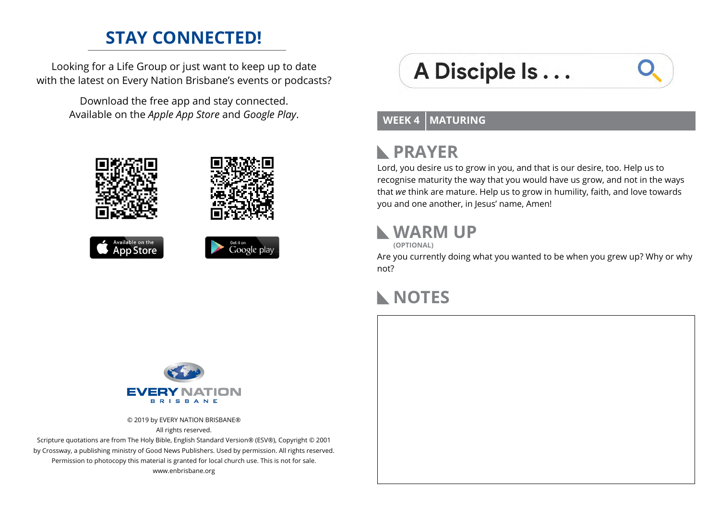#### **STAY CONNECTED!**

Looking for a Life Group or just want to keep up to date with the latest on Every Nation Brisbane's events or podcasts?

> Download the free app and stay connected. Available on the *Apple App Store* and *Google Play*.









# A Disciple Is...

#### **WEEK 4 MATURING**

# **PRAYER**

Lord, you desire us to grow in you, and that is our desire, too. Help us to recognise maturity the way that you would have us grow, and not in the ways that *we* think are mature. Help us to grow in humility, faith, and love towards you and one another, in Jesus' name, Amen!

#### **WARM UP**

**(OPTIONAL)**

Are you currently doing what you wanted to be when you grew up? Why or why not?

## **NOTES**



© 2019 by EVERY NATION BRISBANE® All rights reserved.

Scripture quotations are from The Holy Bible, English Standard Version® (ESV®), Copyright © 2001 by Crossway, a publishing ministry of Good News Publishers. Used by permission. All rights reserved. Permission to photocopy this material is granted for local church use. This is not for sale. www.enbrisbane.org